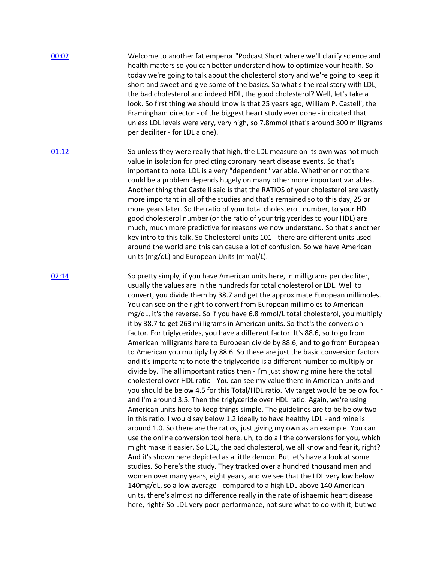| 00:02 | Welcome to another fat emperor "Podcast Short where we'll clarify science and<br>health matters so you can better understand how to optimize your health. So<br>today we're going to talk about the cholesterol story and we're going to keep it<br>short and sweet and give some of the basics. So what's the real story with LDL,<br>the bad cholesterol and indeed HDL, the good cholesterol? Well, let's take a<br>look. So first thing we should know is that 25 years ago, William P. Castelli, the<br>Framingham director - of the biggest heart study ever done - indicated that<br>unless LDL levels were very, very high, so 7.8mmol (that's around 300 milligrams<br>per deciliter - for LDL alone).                                                                                                                                                                                                                                                                                                                                                                                                                                                                                                                                                                                                                                                                                                                                                                                                                                                                                                                                                                                                                                                                                                                                                                                                                                                                                                                  |
|-------|----------------------------------------------------------------------------------------------------------------------------------------------------------------------------------------------------------------------------------------------------------------------------------------------------------------------------------------------------------------------------------------------------------------------------------------------------------------------------------------------------------------------------------------------------------------------------------------------------------------------------------------------------------------------------------------------------------------------------------------------------------------------------------------------------------------------------------------------------------------------------------------------------------------------------------------------------------------------------------------------------------------------------------------------------------------------------------------------------------------------------------------------------------------------------------------------------------------------------------------------------------------------------------------------------------------------------------------------------------------------------------------------------------------------------------------------------------------------------------------------------------------------------------------------------------------------------------------------------------------------------------------------------------------------------------------------------------------------------------------------------------------------------------------------------------------------------------------------------------------------------------------------------------------------------------------------------------------------------------------------------------------------------------|
| 01:12 | So unless they were really that high, the LDL measure on its own was not much<br>value in isolation for predicting coronary heart disease events. So that's<br>important to note. LDL is a very "dependent" variable. Whether or not there<br>could be a problem depends hugely on many other more important variables.<br>Another thing that Castelli said is that the RATIOS of your cholesterol are vastly<br>more important in all of the studies and that's remained so to this day, 25 or<br>more years later. So the ratio of your total cholesterol, number, to your HDL<br>good cholesterol number (or the ratio of your triglycerides to your HDL) are<br>much, much more predictive for reasons we now understand. So that's another<br>key intro to this talk. So Cholesterol units 101 - there are different units used<br>around the world and this can cause a lot of confusion. So we have American<br>units (mg/dL) and European Units (mmol/L).                                                                                                                                                                                                                                                                                                                                                                                                                                                                                                                                                                                                                                                                                                                                                                                                                                                                                                                                                                                                                                                                |
| 02:14 | So pretty simply, if you have American units here, in milligrams per deciliter,<br>usually the values are in the hundreds for total cholesterol or LDL. Well to<br>convert, you divide them by 38.7 and get the approximate European millimoles.<br>You can see on the right to convert from European millimoles to American<br>mg/dL, it's the reverse. So if you have 6.8 mmol/L total cholesterol, you multiply<br>it by 38.7 to get 263 milligrams in American units. So that's the conversion<br>factor. For triglycerides, you have a different factor. It's 88.6, so to go from<br>American milligrams here to European divide by 88.6, and to go from European<br>to American you multiply by 88.6. So these are just the basic conversion factors<br>and it's important to note the triglyceride is a different number to multiply or<br>divide by. The all important ratios then - I'm just showing mine here the total<br>cholesterol over HDL ratio - You can see my value there in American units and<br>you should be below 4.5 for this Total/HDL ratio. My target would be below four<br>and I'm around 3.5. Then the triglyceride over HDL ratio. Again, we're using<br>American units here to keep things simple. The guidelines are to be below two<br>in this ratio. I would say below 1.2 ideally to have healthy LDL - and mine is<br>around 1.0. So there are the ratios, just giving my own as an example. You can<br>use the online conversion tool here, uh, to do all the conversions for you, which<br>might make it easier. So LDL, the bad cholesterol, we all know and fear it, right?<br>And it's shown here depicted as a little demon. But let's have a look at some<br>studies. So here's the study. They tracked over a hundred thousand men and<br>women over many years, eight years, and we see that the LDL very low below<br>140mg/dL, so a low average - compared to a high LDL above 140 American<br>units, there's almost no difference really in the rate of ishaemic heart disease |

here, right? So LDL very poor performance, not sure what to do with it, but we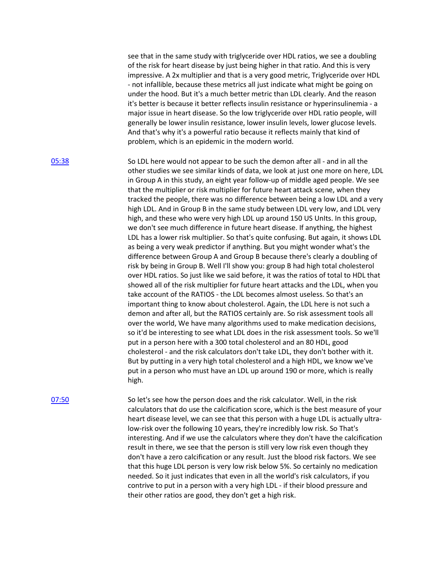see that in the same study with triglyceride over HDL ratios, we see a doubling of the risk for heart disease by just being higher in that ratio. And this is very impressive. A 2x multiplier and that is a very good metric, Triglyceride over HDL - not infallible, because these metrics all just indicate what might be going on under the hood. But it's a much better metric than LDL clearly. And the reason it's better is because it better reflects insulin resistance or hyperinsulinemia - a major issue in heart disease. So the low triglyceride over HDL ratio people, will generally be lower insulin resistance, lower insulin levels, lower glucose levels. And that's why it's a powerful ratio because it reflects mainly that kind of problem, which is an epidemic in the modern world.

[05:38](https://www.temi.com/editor/t/G44braJYDgIA1ztcpBdMJ5UR8X2WV-J0_d3tRoy6gqrIy7ASmiNx3XwFlta_URMRFc2Jk__wNybYwY7rcBj6n_XpZLQ?loadFrom=DocumentDeeplink&ts=338.17) So LDL here would not appear to be such the demon after all - and in all the other studies we see similar kinds of data, we look at just one more on here, LDL in Group A in this study, an eight year follow-up of middle aged people. We see that the multiplier or risk multiplier for future heart attack scene, when they tracked the people, there was no difference between being a low LDL and a very high LDL. And in Group B in the same study between LDL very low, and LDL very high, and these who were very high LDL up around 150 US UnIts. In this group, we don't see much difference in future heart disease. If anything, the highest LDL has a lower risk multiplier. So that's quite confusing. But again, it shows LDL as being a very weak predictor if anything. But you might wonder what's the difference between Group A and Group B because there's clearly a doubling of risk by being in Group B. Well I'll show you: group B had high total cholesterol over HDL ratios. So just like we said before, it was the ratios of total to HDL that showed all of the risk multiplier for future heart attacks and the LDL, when you take account of the RATIOS - the LDL becomes almost useless. So that's an important thing to know about cholesterol. Again, the LDL here is not such a demon and after all, but the RATIOS certainly are. So risk assessment tools all over the world, We have many algorithms used to make medication decisions, so it'd be interesting to see what LDL does in the risk assessment tools. So we'll put in a person here with a 300 total cholesterol and an 80 HDL, good cholesterol - and the risk calculators don't take LDL, they don't bother with it. But by putting in a very high total cholesterol and a high HDL, we know we've put in a person who must have an LDL up around 190 or more, which is really high.

[07:50](https://www.temi.com/editor/t/G44braJYDgIA1ztcpBdMJ5UR8X2WV-J0_d3tRoy6gqrIy7ASmiNx3XwFlta_URMRFc2Jk__wNybYwY7rcBj6n_XpZLQ?loadFrom=DocumentDeeplink&ts=470.24) So let's see how the person does and the risk calculator. Well, in the risk calculators that do use the calcification score, which is the best measure of your heart disease level, we can see that this person with a huge LDL is actually ultralow-risk over the following 10 years, they're incredibly low risk. So That's interesting. And if we use the calculators where they don't have the calcification result in there, we see that the person is still very low risk even though they don't have a zero calcification or any result. Just the blood risk factors. We see that this huge LDL person is very low risk below 5%. So certainly no medication needed. So it just indicates that even in all the world's risk calculators, if you contrive to put in a person with a very high LDL - if their blood pressure and their other ratios are good, they don't get a high risk.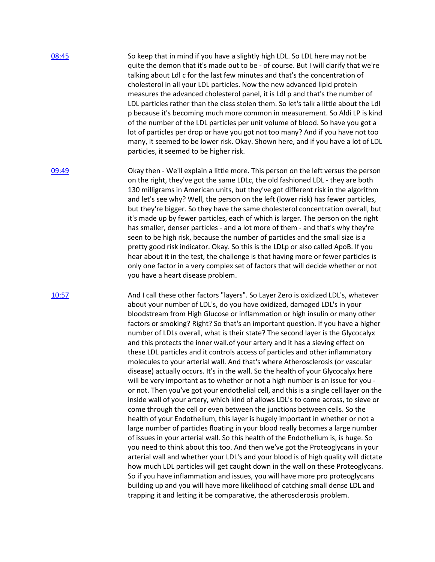| 08:45 | So keep that in mind if you have a slightly high LDL. So LDL here may not be          |
|-------|---------------------------------------------------------------------------------------|
|       | quite the demon that it's made out to be - of course. But I will clarify that we're   |
|       | talking about Ldl c for the last few minutes and that's the concentration of          |
|       | cholesterol in all your LDL particles. Now the new advanced lipid protein             |
|       | measures the advanced cholesterol panel, it is Ldl p and that's the number of         |
|       | LDL particles rather than the class stolen them. So let's talk a little about the Ldl |
|       | p because it's becoming much more common in measurement. So Aldi LP is kind           |
|       | of the number of the LDL particles per unit volume of blood. So have you got a        |
|       | lot of particles per drop or have you got not too many? And if you have not too       |
|       | many, it seemed to be lower risk. Okay. Shown here, and if you have a lot of LDL      |
|       | particles, it seemed to be higher risk.                                               |

[09:49](https://www.temi.com/editor/t/G44braJYDgIA1ztcpBdMJ5UR8X2WV-J0_d3tRoy6gqrIy7ASmiNx3XwFlta_URMRFc2Jk__wNybYwY7rcBj6n_XpZLQ?loadFrom=DocumentDeeplink&ts=589.681) Okay then - We'll explain a little more. This person on the left versus the person on the right, they've got the same LDLc, the old fashioned LDL - they are both 130 milligrams in American units, but they've got different risk in the algorithm and let's see why? Well, the person on the left (lower risk) has fewer particles, but they're bigger. So they have the same cholesterol concentration overall, but it's made up by fewer particles, each of which is larger. The person on the right has smaller, denser particles - and a lot more of them - and that's why they're seen to be high risk, because the number of particles and the small size is a pretty good risk indicator. Okay. So this is the LDLp or also called ApoB. If you hear about it in the test, the challenge is that having more or fewer particles is only one factor in a very complex set of factors that will decide whether or not you have a heart disease problem.

[10:57](https://www.temi.com/editor/t/G44braJYDgIA1ztcpBdMJ5UR8X2WV-J0_d3tRoy6gqrIy7ASmiNx3XwFlta_URMRFc2Jk__wNybYwY7rcBj6n_XpZLQ?loadFrom=DocumentDeeplink&ts=657.39) And I call these other factors "layers". So Layer Zero is oxidized LDL's, whatever about your number of LDL's, do you have oxidized, damaged LDL's in your bloodstream from High Glucose or inflammation or high insulin or many other factors or smoking? Right? So that's an important question. If you have a higher number of LDLs overall, what is their state? The second layer is the Glycocalyx and this protects the inner wall.of your artery and it has a sieving effect on these LDL particles and it controls access of particles and other inflammatory molecules to your arterial wall. And that's where Atherosclerosis (or vascular disease) actually occurs. It's in the wall. So the health of your Glycocalyx here will be very important as to whether or not a high number is an issue for you or not. Then you've got your endothelial cell, and this is a single cell layer on the inside wall of your artery, which kind of allows LDL's to come across, to sieve or come through the cell or even between the junctions between cells. So the health of your Endothelium, this layer is hugely important in whether or not a large number of particles floating in your blood really becomes a large number of issues in your arterial wall. So this health of the Endothelium is, is huge. So you need to think about this too. And then we've got the Proteoglycans in your arterial wall and whether your LDL's and your blood is of high quality will dictate how much LDL particles will get caught down in the wall on these Proteoglycans. So if you have inflammation and issues, you will have more pro proteoglycans building up and you will have more likelihood of catching small dense LDL and trapping it and letting it be comparative, the atherosclerosis problem.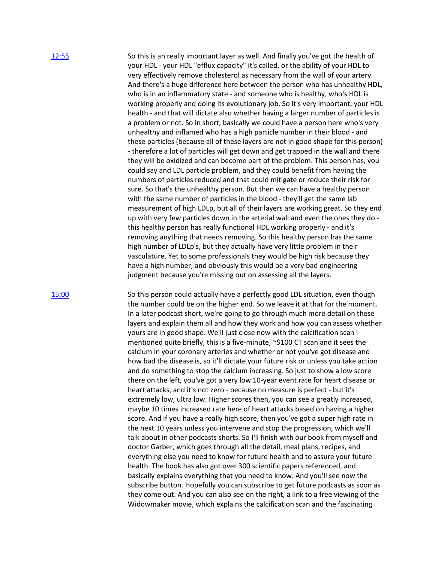[12:55](https://www.temi.com/editor/t/G44braJYDgIA1ztcpBdMJ5UR8X2WV-J0_d3tRoy6gqrIy7ASmiNx3XwFlta_URMRFc2Jk__wNybYwY7rcBj6n_XpZLQ?loadFrom=DocumentDeeplink&ts=775.81) So this is an really important layer as well. And finally you've got the health of your HDL - your HDL "efflux capacity" it's called, or the ability of your HDL to very effectively remove cholesterol as necessary from the wall of your artery. And there's a huge difference here between the person who has unhealthy HDL, who is in an inflammatory state - and someone who is healthy, who's HDL is working properly and doing its evolutionary job. So it's very important, your HDL health - and that will dictate also whether having a larger number of particles is a problem or not. So in short, basically we could have a person here who's very unhealthy and inflamed who has a high particle number in their blood - and these particles (because all of these layers are not in good shape for this person) - therefore a lot of particles will get down and get trapped in the wall and there they will be oxidized and can become part of the problem. This person has, you could say and LDL particle problem, and they could benefit from having the numbers of particles reduced and that could mitigate or reduce their risk for sure. So that's the unhealthy person. But then we can have a healthy person with the same number of particles in the blood - they'll get the same lab measurement of high LDLp, but all of their layers are working great. So they end up with very few particles down in the arterial wall and even the ones they do this healthy person has really functional HDL working properly - and it's removing anything that needs removing. So this healthy person has the same high number of LDLp's, but they actually have very little problem in their vasculature. Yet to some professionals they would be high risk because they have a high number, and obviously this would be a very bad engineering judgment because you're missing out on assessing all the layers.

[15:00](https://www.temi.com/editor/t/G44braJYDgIA1ztcpBdMJ5UR8X2WV-J0_d3tRoy6gqrIy7ASmiNx3XwFlta_URMRFc2Jk__wNybYwY7rcBj6n_XpZLQ?loadFrom=DocumentDeeplink&ts=900.14) So this person could actually have a perfectly good LDL situation, even though the number could be on the higher end. So we leave it at that for the moment. In a later podcast short, we're going to go through much more detail on these layers and explain them all and how they work and how you can assess whether yours are in good shape. We'll just close now with the calcification scan I mentioned quite briefly, this is a five-minute,  $\sim$ \$100 CT scan and it sees the calcium in your coronary arteries and whether or not you've got disease and how bad the disease is, so it'll dictate your future risk or unless you take action and do something to stop the calcium increasing. So just to show a low score there on the left, you've got a very low 10-year event rate for heart disease or heart attacks, and it's not zero - because no measure is perfect - but it's extremely low, ultra low. Higher scores then, you can see a greatly increased, maybe 10 times increased rate here of heart attacks based on having a higher score. And if you have a really high score, then you've got a super high rate in the next 10 years unless you intervene and stop the progression, which we'll talk about in other podcasts shorts. So I'll finish with our book from myself and doctor Garber, which goes through all the detail, meal plans, recipes, and everything else you need to know for future health and to assure your future health. The book has also got over 300 scientific papers referenced, and basically explains everything that you need to know. And you'll see now the subscribe button. Hopefully you can subscribe to get future podcasts as soon as they come out. And you can also see on the right, a link to a free viewing of the Widowmaker movie, which explains the calcification scan and the fascinating